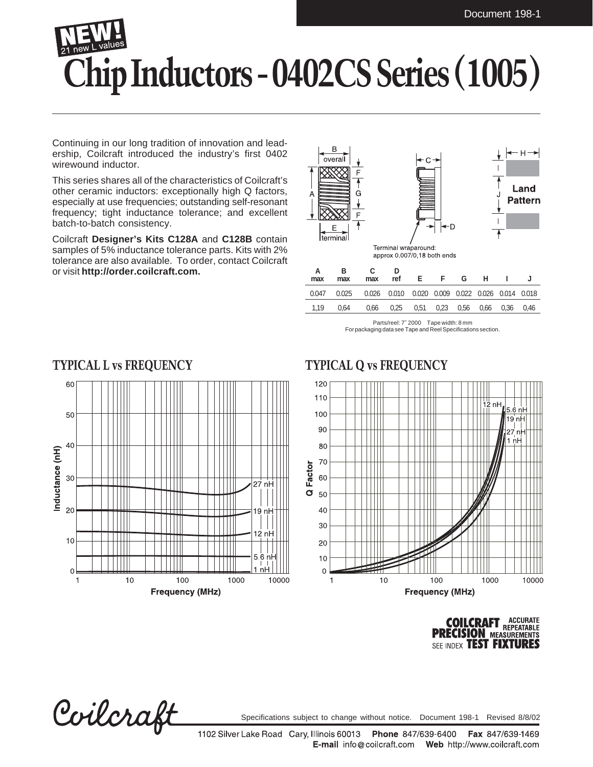## **Chip Inductors - 0402CS Series (1005)**

Continuing in our long tradition of innovation and leadership, Coilcraft introduced the industry's first 0402 wirewound inductor.

This series shares all of the characteristics of Coilcraft's other ceramic inductors: exceptionally high Q factors, especially at use frequencies; outstanding self-resonant frequency; tight inductance tolerance; and excellent batch-to-batch consistency.

Coilcraft **Designer's Kits C128A** and **C128B** contain samples of 5% inductance tolerance parts. Kits with 2% tolerance are also available. To order, contact Coilcraft or visit **http://order.coilcraft.com.**



Parts/reel: 7″ 2000 Tape width: 8 mm For packaging data see Tape and Reel Specifications section.







Coilcraft

Specifications subject to change without notice. Document 198-1 Revised 8/8/02

1102 Silver Lake Road Cary, Illinois 60013 Phone 847/639-6400 Fax 847/639-1469